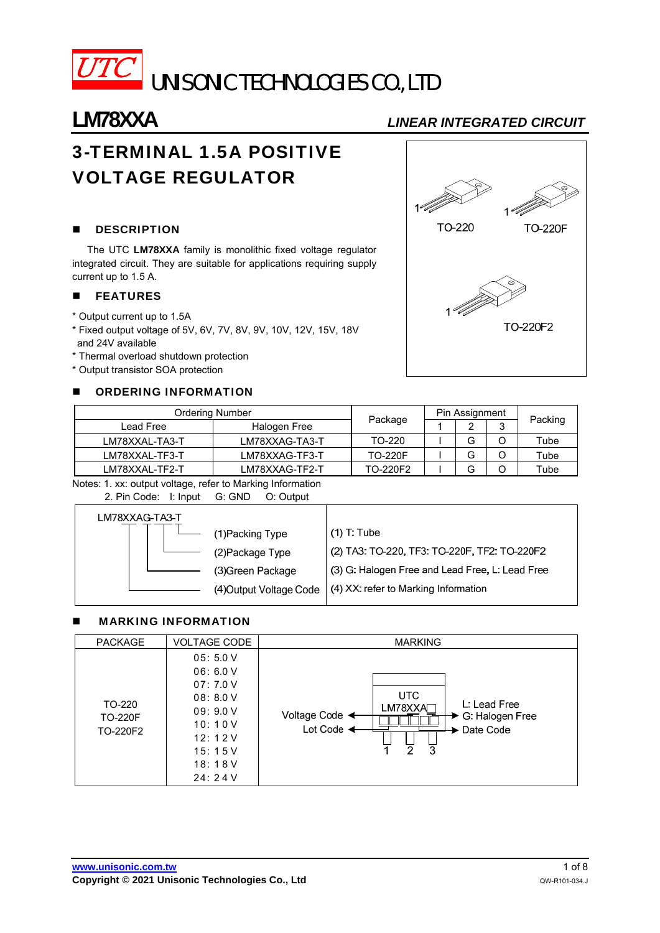

# **LM78XXA** *LINEAR INTEGRATED CIRCUIT*

# 3-TERMINAL 1.5A POSITIVE VOLTAGE REGULATOR

# **DESCRIPTION**

The UTC **LM78XXA** family is monolithic fixed voltage regulator integrated circuit. They are suitable for applications requiring supply current up to 1.5 A.

## **FEATURES**

- \* Output current up to 1.5A
- \* Fixed output voltage of 5V, 6V, 7V, 8V, 9V, 10V, 12V, 15V, 18V and 24V available
- \* Thermal overload shutdown protection
- \* Output transistor SOA protection

# **E** ORDERING INFORMATION



| <b>Ordering Number</b> |                | Pin Assignment |   |        |         |
|------------------------|----------------|----------------|---|--------|---------|
| Lead Free              | Halogen Free   | Package        |   | ົ<br>J | Packing |
| LM78XXAL-TA3-T         | LM78XXAG-TA3-T | TO-220         | ت |        | Tube    |
| LM78XXAL-TF3-T         | LM78XXAG-TF3-T | <b>TO-220F</b> | ت |        | Tube    |
| LM78XXAL-TF2-T         | LM78XXAG-TF2-T | TO-220F2       | O |        | Tube    |

Notes: 1. xx: output voltage, refer to Marking Information 2. Pin Code: I: Input G: GND O: Output

| LM78XXAG-TA3-T |                         |                                                 |
|----------------|-------------------------|-------------------------------------------------|
|                | (1)Packing Type         | $(1)$ T: Tube                                   |
|                | (2)Package Type         | (2) TA3: TO-220, TF3: TO-220F, TF2: TO-220F2    |
|                | (3) Green Package       | (3) G: Halogen Free and Lead Free, L: Lead Free |
|                | (4) Output Voltage Code | (4) XX: refer to Marking Information            |
|                |                         |                                                 |

# **NARKING INFORMATION**

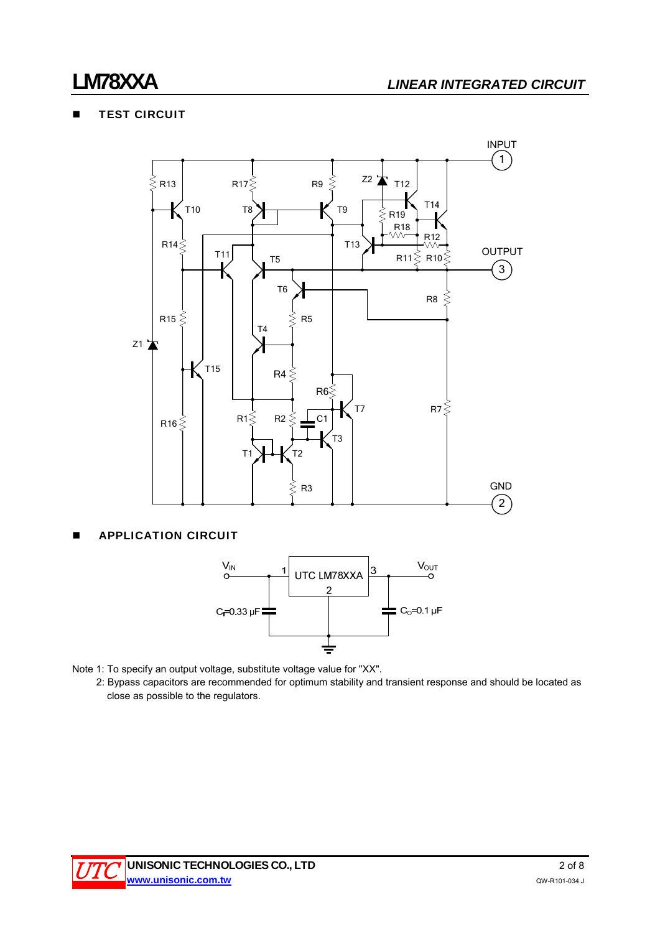# **TEST CIRCUIT**



# **APPLICATION CIRCUIT**



- Note 1: To specify an output voltage, substitute voltage value for "XX".
	- 2: Bypass capacitors are recommended for optimum stability and transient response and should be located as close as possible to the regulators.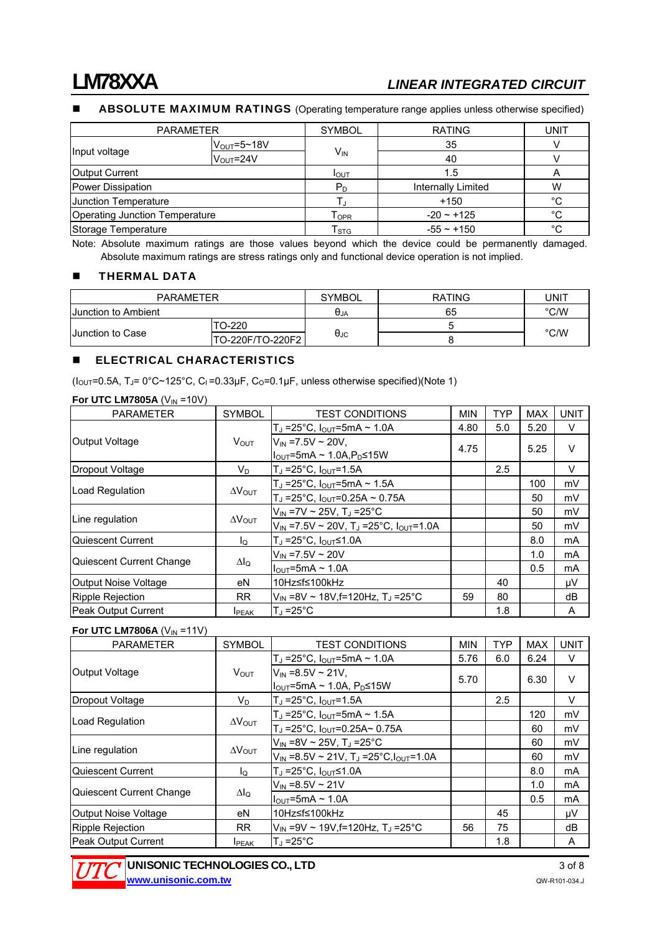## ABSOLUTE MAXIMUM RATINGS (Operating temperature range applies unless otherwise specified)

| <b>PARAMETER</b>                      |                         | <b>SYMBOL</b>                | <b>RATING</b>      | UNIT         |
|---------------------------------------|-------------------------|------------------------------|--------------------|--------------|
| Input voltage                         | $V_{\text{OUT}}$ =5~18V |                              | 35                 |              |
|                                       | V <sub>OUT</sub> =24V   | $V_{IN}$                     | 40                 |              |
| Output Current                        |                         | I <sub>OUT</sub>             | 1.5                | A            |
| Power Dissipation                     |                         | $P_D$                        | Internally Limited | W            |
| Junction Temperature                  |                         |                              | $+150$             | $^{\circ}$ C |
| <b>Operating Junction Temperature</b> |                         | ${\mathsf T}_{\mathsf{OPR}}$ | $-20 - 125$        | °C           |
| Storage Temperature                   |                         | $\mathsf{T}_{\text{STG}}$    | $-55 \sim +150$    | $^{\circ}C$  |

Note: Absolute maximum ratings are those values beyond which the device could be permanently damaged. Absolute maximum ratings are stress ratings only and functional device operation is not implied.

#### **THERMAL DATA**

| <b>PARAMETER</b>           |                  | <b>SYMBOL</b>          | <b>RATING</b> | JNI٦          |
|----------------------------|------------------|------------------------|---------------|---------------|
| <b>Uunction to Ambient</b> |                  | $\theta_{\mathsf{JA}}$ | 65            | $\degree$ C/W |
| <b>Junction to Case</b>    | TO-220           |                        |               |               |
|                            | TO-220F/TO-220F2 | $\theta_{\text{JC}}$   |               | $\degree$ C/W |

#### **ELECTRICAL CHARACTERISTICS**

( $I_{\text{OUT}}$ =0.5A, T<sub>J</sub>= 0°C~125°C, C<sub>I</sub>=0.33µF, C<sub>O</sub>=0.1µF, unless otherwise specified)(Note 1)

| <b>PARAMETER</b>         | <b>SYMBOL</b>           | <b>TEST CONDITIONS</b>                                                            | <b>MIN</b> | <b>TYP</b> | <b>MAX</b> | <b>UNIT</b> |
|--------------------------|-------------------------|-----------------------------------------------------------------------------------|------------|------------|------------|-------------|
|                          |                         | $T_J = 25^{\circ}C$ , $I_{OUT} = 5mA \sim 1.0A$                                   | 4.80       | 5.0        | 5.20       | V           |
| Output Voltage           | $V_{OUT}$               | $V_{\text{IN}}$ =7.5V ~ 20V,<br>$ I_{\text{OUT}}$ =5mA ~ 1.0A,P <sub>D</sub> ≤15W | 4.75       |            | 5.25       | $\vee$      |
| Dropout Voltage          | $V_D$                   | $T_J = 25^{\circ}C, I_{OUT} = 1.5A$                                               |            | 2.5        |            | $\vee$      |
|                          |                         | $T_J = 25^{\circ}C$ , $I_{OUT} = 5mA \sim 1.5A$                                   |            |            | 100        | mV          |
| Load Regulation          | $\Delta V_{\text{OUT}}$ | $T_J = 25^{\circ}C$ , $I_{OUT} = 0.25A \sim 0.75A$                                |            |            | 50         | mV          |
|                          | $\Delta V_{\text{OUT}}$ | $V_{\text{IN}}$ =7V ~ 25V, T <sub>J</sub> =25°C                                   |            |            | 50         | mV          |
| Line regulation          |                         | $V_{IN}$ =7.5V ~ 20V, T <sub>J</sub> =25°C, I <sub>OUT</sub> =1.0A                |            |            | 50         | mV          |
| lQuiescent Current       | l <sub>o</sub>          | T」=25°C, I <sub>OUT</sub> ≤1.0A                                                   |            |            | 8.0        | mA          |
|                          |                         | $V_{\text{IN}}$ =7.5V ~ 20V                                                       |            |            | 1.0        | mA          |
| Quiescent Current Change | $\Delta I_Q$            | $I_{\text{OUT}}$ =5mA ~ 1.0A                                                      |            |            | 0.5        | mA          |
| Output Noise Voltage     | eN                      | 10Hz≤f≤100kHz                                                                     |            | 40         |            | μV          |
| Ripple Rejection         | <b>RR</b>               | $V_{\text{IN}}$ =8V ~ 18V, f=120Hz, T <sub>J</sub> =25°C                          | 59         | 80         |            | dB          |
| Peak Output Current      | <b>I</b> PEAK           | $T_J = 25^{\circ}C$                                                               |            | 1.8        |            | A           |

#### For UTC LM7806A  $(V_{IN} = 11V)$

| <b>PARAMETER</b>           | <b>SYMBOL</b>           | <b>TEST CONDITIONS</b>                                      | <b>MIN</b> | <b>TYP</b> | <b>MAX</b> | <b>UNIT</b> |
|----------------------------|-------------------------|-------------------------------------------------------------|------------|------------|------------|-------------|
|                            |                         | $T_J = 25^{\circ}C$ , $I_{OUT} = 5mA \sim 1.0A$             | 5.76       | 6.0        | 6.24       | V           |
| Output Voltage             | <b>V</b> <sub>OUT</sub> | $V_{\text{IN}}$ =8.5V ~ 21V,                                | 5.70       |            | 6.30       | $\vee$      |
|                            |                         | $I_{\text{OUT}}$ =5mA ~ 1.0A, P <sub>D</sub> ≤15W           |            |            |            |             |
| Dropout Voltage            | $V_{\text{D}}$          | $T_J = 25^{\circ}C, I_{OUT} = 1.5A$                         |            | 2.5        |            | V           |
|                            |                         | $T_J = 25^{\circ}C$ , $I_{OUT} = 5mA \sim 1.5A$             |            |            | 120        | mV          |
| Load Regulation            | $\Delta V_{\text{OUT}}$ | $T_J = 25^{\circ}C$ , $I_{OUT} = 0.25A \sim 0.75A$          |            |            | 60         | mV          |
|                            | $\Delta V_{\text{OUT}}$ | $V_{IN}$ =8V ~ 25V, T <sub>J</sub> =25°C                    |            |            | 60         | mV          |
| Line regulation            |                         | $V_{IN}$ =8.5V ~ 21V, T <sub>J</sub> =25°C, $I_{OUT}$ =1.0A |            |            | 60         | mV          |
| Quiescent Current          | lo                      | $T_J = 25^{\circ}C$ , $I_{OUT} \leq 1.0A$                   |            |            | 8.0        | mA          |
|                            |                         | $V_{IN} = 8.5V \sim 21V$                                    |            |            | 1.0        | mA          |
| Quiescent Current Change   | Δlο                     | $I_{\text{OUT}}$ =5mA ~ 1.0A                                |            |            | 0.5        | mA          |
| Output Noise Voltage       | eN                      | 10Hz≤f≤100kHz                                               |            | 45         |            | μV          |
| Ripple Rejection           | <b>RR</b>               | $V_{IN}$ =9V ~ 19V, f=120Hz, T <sub>J</sub> =25°C           | 56         | 75         |            | dB          |
| <b>Peak Output Current</b> | <b>IPEAK</b>            | $T_J = 25^{\circ}C$                                         |            | 1.8        |            | A           |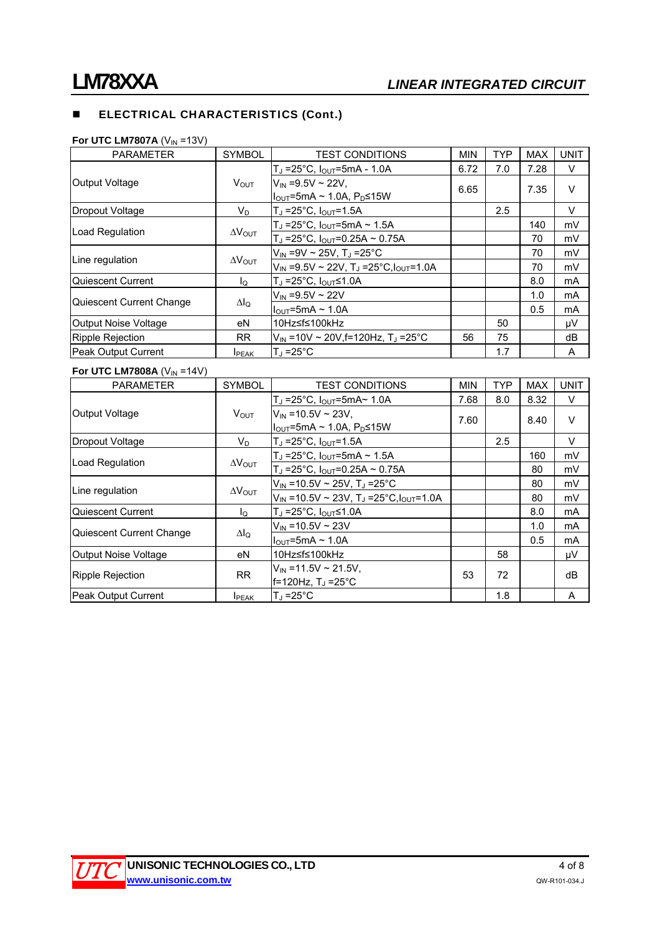# **ELECTRICAL CHARACTERISTICS (Cont.)**

#### **For UTC LM7807A** (V<sub>IN</sub> =13V)

| <b>PARAMETER</b>           | <b>SYMBOL</b>           | <b>TEST CONDITIONS</b>                                      | <b>MIN</b> | <b>TYP</b> | <b>MAX</b> | <b>UNIT</b> |
|----------------------------|-------------------------|-------------------------------------------------------------|------------|------------|------------|-------------|
|                            |                         | $T_J = 25^{\circ}C$ , $I_{OUT} = 5mA - 1.0A$                | 6.72       | 7.0        | 7.28       | V           |
| Output Voltage             | V <sub>OUT</sub>        | $V_{\text{IN}}$ =9.5V ~ 22V,                                | 6.65       |            | 7.35       | $\vee$      |
|                            |                         | Il <sub>ou⊤</sub> =5mA ~ 1.0A, P <sub>D</sub> ≤15W          |            |            |            |             |
| Dropout Voltage            | V <sub>D</sub>          | $T_J = 25^{\circ}C$ , $I_{OUT} = 1.5A$                      |            | 2.5        |            | V           |
|                            |                         | $T_J$ =25°C, $I_{OUT}$ =5mA ~ 1.5A                          |            |            | 140        | mV          |
| Load Regulation            | $\Delta V_{\text{OUT}}$ | $T_J = 25^{\circ}C$ , $I_{OUT} = 0.25A \sim 0.75A$          |            |            | 70         | mV          |
|                            | $\Delta V_{\text{OUT}}$ | $V_{\text{IN}}$ =9V ~ 25V, T」 =25°C                         |            |            | 70         | mV          |
| Line regulation            |                         | $V_{IN}$ =9.5V ~ 22V, T <sub>J</sub> =25°C, $I_{OUT}$ =1.0A |            |            | 70         | mV          |
| Quiescent Current          | lo                      | $T_J = 25^{\circ}C$ , $I_{OUT} \le 1.0A$                    |            |            | 8.0        | mA          |
|                            |                         | $V_{\text{IN}} = 9.5V \sim 22V$                             |            |            | 1.0        | mA          |
| Quiescent Current Change   | $\Delta I_Q$            | $I_{\text{OUT}}$ =5mA ~ 1.0A                                |            |            | 0.5        | mA          |
| Output Noise Voltage       | eN                      | 10Hz≤f≤100kHz                                               |            | 50         |            | μV          |
| Ripple Rejection           | <b>RR</b>               | lVin =10V ~ 20V.f=120Hz. T.i =25°C                          | 56         | 75         |            | dB          |
| <b>Peak Output Current</b> | <b>IPEAK</b>            | $T_J = 25^{\circ}C$                                         |            | 1.7        |            | A           |

#### For UTC LM7808A  $(V_{IN} = 14V)$

| <b>PARAMETER</b>           | <b>SYMBOL</b>           | <b>TEST CONDITIONS</b>                                            | <b>MIN</b> | <b>TYP</b> | <b>MAX</b> | <b>UNIT</b> |
|----------------------------|-------------------------|-------------------------------------------------------------------|------------|------------|------------|-------------|
|                            |                         | $T_J = 25^{\circ}C$ , $I_{OUT} = 5mA \sim 1.0A$                   | 7.68       | 8.0        | 8.32       | V           |
| Output Voltage             | $V_{OUT}$               | $V_{IN}$ = 10.5V ~ 23V,                                           | 7.60       |            | 8.40       | $\vee$      |
|                            |                         | $I_{\text{OUT}}$ =5mA ~ 1.0A, P <sub>D</sub> ≤15W                 |            |            |            |             |
| Dropout Voltage            | $V_{\text{D}}$          | $T_J = 25^{\circ}C, I_{OUT} = 1.5A$                               |            | 2.5        |            | V           |
|                            |                         | $T_J$ =25°C, $I_{OUT}$ =5mA ~ 1.5A                                |            |            | 160        | mV          |
| Load Regulation            | $\Delta V_{\text{OUT}}$ | $T_J = 25^{\circ}C$ , $I_{OUT} = 0.25A \sim 0.75A$                |            |            | 80         | mV          |
|                            | $\Delta V_{\text{OUT}}$ | $V_{\text{IN}}$ = 10.5V ~ 25V, T <sub>J</sub> = 25 <sup>°</sup> C |            |            | 80         | mV          |
| Line regulation            |                         | $V_{IN}$ =10.5V ~ 23V, T <sub>J</sub> =25°C, $I_{OUT}$ =1.0A      |            |            | 80         | mV          |
| Quiescent Current          | Ιo                      | $T_J = 25^{\circ}C$ , $I_{OUT} \le 1.0A$                          |            |            | 8.0        | <b>mA</b>   |
|                            |                         | $V_{IN}$ = 10.5V ~ 23V                                            |            |            | 1.0        | mA          |
| Quiescent Current Change   | $\Delta I_Q$            | $I_{\text{OUT}}$ =5mA ~ 1.0A                                      |            |            | 0.5        | mA          |
| Output Noise Voltage       | eN                      | 10Hz≤f≤100kHz                                                     |            | 58         |            | μV          |
|                            |                         | $V_{\text{IN}}$ = 11.5V ~ 21.5V,                                  |            |            |            |             |
| Ripple Rejection           | <b>RR</b>               | f=120Hz, T」 = 25°C                                                | 53         | 72         |            | dB          |
| <b>Peak Output Current</b> | <b>I</b> PEAK           | $T_{\rm d}$ =25°C                                                 |            | 1.8        |            | A           |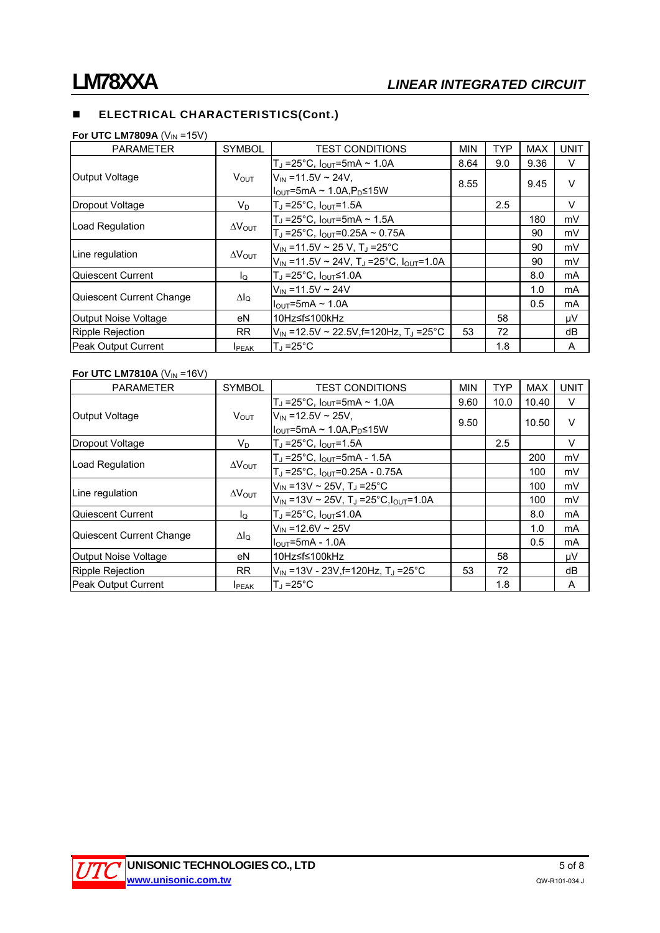# **ELECTRICAL CHARACTERISTICS(Cont.)**

**For UTC LM7809A** (V<sub>IN</sub> =15V)

| <b>PARAMETER</b>         | <b>SYMBOL</b>           | <b>TEST CONDITIONS</b>                                        | <b>MIN</b> | <b>TYP</b> | <b>MAX</b> | <b>UNIT</b> |
|--------------------------|-------------------------|---------------------------------------------------------------|------------|------------|------------|-------------|
|                          |                         | $T_J = 25^{\circ}C$ , $I_{OUT} = 5mA \sim 1.0A$               | 8.64       | 9.0        | 9.36       | V           |
| Output Voltage           | V <sub>OUT</sub>        | $V_{IN} = 11.5V \sim 24V$ ,                                   | 8.55       |            | 9.45       | $\vee$      |
|                          |                         | II <sub>∩∪T</sub> =5mA ~ 1.0A,P <sub>D</sub> ≤15W             |            |            |            |             |
| Dropout Voltage          | $V_{\text{D}}$          | Т」 =25°С, I <sub>OUT</sub> =1.5А                              |            | 2.5        |            | $\vee$      |
|                          |                         | $T_J = 25^{\circ}C$ , $I_{OUT} = 5mA \sim 1.5A$               |            |            | 180        | mV          |
| Load Regulation          | $\Delta V_{\text{OUT}}$ | $T_J$ =25°C, $I_{OUT}$ =0.25A ~ 0.75A                         |            |            | 90         | mV          |
|                          | $\Delta V_{\text{OUT}}$ | $V_{\text{IN}}$ =11.5V ~ 25 V, T <sub>J</sub> =25°C           |            |            | 90         | mV          |
| Line regulation          |                         | $V_{IN}$ =11.5V ~ 24V, T <sub>J</sub> =25°C, $I_{OUT}$ =1.0A  |            |            | 90         | mV          |
| Quiescent Current        | lo.                     | $T_J = 25^{\circ}C$ , $I_{OUT} \le 1.0A$                      |            |            | 8.0        | mA          |
|                          |                         | $V_{IN} = 11.5V \sim 24V$                                     |            |            | 1.0        | mA          |
| Quiescent Current Change | $\Delta I_{\Omega}$     | $I_{\text{OUT}}$ =5mA ~ 1.0A                                  |            |            | 0.5        | mA          |
| Output Noise Voltage     | eN                      | 10Hz≤f≤100kHz                                                 |            | 58         |            | μV          |
| Ripple Rejection         | <b>RR</b>               | $V_{\text{IN}}$ =12.5V ~ 22.5V, f=120Hz, T <sub>J</sub> =25°C | 53         | 72         |            | dB          |
| Peak Output Current      | <b>I</b> PEAK           | $T_{\rm J}$ =25°C                                             |            | 1.8        |            | A           |

## For UTC LM7810A  $(V_{IN} = 16V)$

| <b>PARAMETER</b>         | <b>SYMBOL</b>           | <b>TEST CONDITIONS</b>                                     | <b>MIN</b> | <b>TYP</b> | <b>MAX</b> | <b>UNIT</b> |
|--------------------------|-------------------------|------------------------------------------------------------|------------|------------|------------|-------------|
|                          |                         | $T_J = 25^{\circ}C$ , $I_{OUT} = 5mA \sim 1.0A$            | 9.60       | 10.0       | 10.40      | V           |
| Output Voltage           | $V_{OUT}$               | $V_{\text{IN}}$ =12.5V ~ 25V.                              | 9.50       |            | 10.50      | $\vee$      |
|                          |                         | $I_{\text{OUT}}$ =5mA ~ 1.0A, $P_{\text{D}}$ ≤15W          |            |            |            |             |
| Dropout Voltage          | $V_{\text{D}}$          | $T_J = 25^{\circ}C, I_{OUT} = 1.5A$                        |            | 2.5        |            | V           |
|                          |                         | $T_J = 25^{\circ}C$ , $I_{OUT} = 5mA - 1.5A$               |            |            | 200        | mV          |
| Load Regulation          | $\Delta V_{\text{OUT}}$ | $T_J = 25^{\circ}C$ , $I_{OUT} = 0.25A - 0.75A$            |            |            | 100        | mV          |
|                          | $\Delta V_{\text{OUT}}$ | $V_{\text{IN}}$ =13V ~ 25V, T <sub>J</sub> =25°C           |            |            | 100        | mV          |
| Line regulation          |                         | $V_{IN}$ =13V ~ 25V, T <sub>J</sub> =25°C, $I_{OUT}$ =1.0A |            |            | 100        | mV          |
| Quiescent Current        | $I_{\Omega}$            | Т」 =25°С, I <sub>OUT</sub> ≤1.0А                           |            |            | 8.0        | mA          |
|                          |                         | $V_{IN} = 12.6 V \sim 25 V$                                |            |            | 1.0        | mA          |
| Quiescent Current Change | ΔI <sub>Ω</sub>         | $IOUT=5mA - 1.0A$                                          |            |            | 0.5        | mA          |
| Output Noise Voltage     | eN                      | 10Hz≤f≤100kHz                                              |            | 58         |            | μV          |
| Ripple Rejection         | <b>RR</b>               | $V_{\text{IN}}$ =13V - 23V, f=120Hz, T <sub>J</sub> =25°C  | 53         | 72         |            | dB          |
| Peak Output Current      | <b>I</b> PEAK           | $T_{\rm d}$ =25°C                                          |            | 1.8        |            | A           |

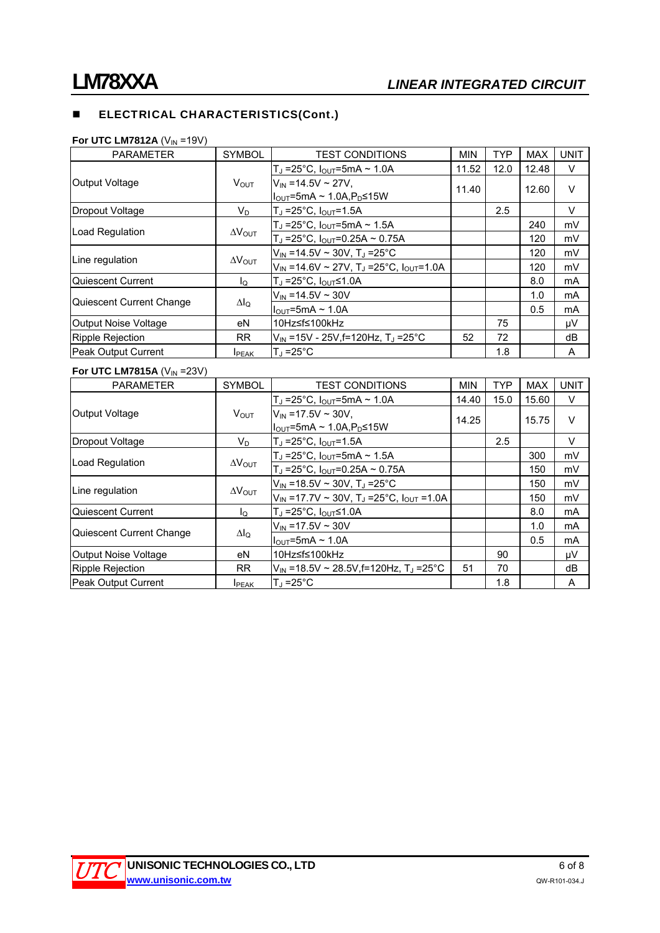# **ELECTRICAL CHARACTERISTICS(Cont.)**

#### **For UTC LM7812A** (V<sub>IN</sub> =19V)

| <b>PARAMETER</b>            | <b>SYMBOL</b>           | <b>TEST CONDITIONS</b>                             | <b>MIN</b> | <b>TYP</b> | <b>MAX</b> | <b>UNIT</b> |
|-----------------------------|-------------------------|----------------------------------------------------|------------|------------|------------|-------------|
|                             |                         | $T_J = 25^{\circ}C$ , $I_{OUT} = 5mA \sim 1.0A$    | 11.52      | 12.0       | 12.48      | V           |
| Output Voltage              | V <sub>OUT</sub>        | $V_{IN} = 14.5V \sim 27V$ ,                        | 11.40      |            | 12.60      | $\vee$      |
|                             |                         | ll <sub>ouτ</sub> =5mA ~ 1.0A,P <sub>D</sub> ≤15W  |            |            |            |             |
| Dropout Voltage             | $V_D$                   | $T_J = 25^{\circ}C$ , $I_{OUT} = 1.5A$             |            | 2.5        |            | V           |
|                             |                         | $T_J = 25^{\circ}C$ , $I_{OUT} = 5mA \sim 1.5A$    |            |            | 240        | mV          |
| Load Regulation             | $\Delta V_{\text{OUT}}$ | $T_J = 25^{\circ}C$ , $I_{OUT} = 0.25A \sim 0.75A$ |            |            | 120        | mV          |
|                             | $\Delta V_{\text{OUT}}$ | $V_{\text{IN}}$ =14.5V ~ 30V, TJ =25°C             |            |            | 120        | mV          |
| Line regulation             |                         | $V_{IN}$ =14.6V ~ 27V, TJ =25°C, $I_{OUT}$ =1.0A   |            |            | 120        | mV          |
| lQuiescent Current          | lo                      | $T_J = 25^{\circ}C$ , $I_{OUT} \le 1.0A$           |            |            | 8.0        | mA          |
|                             |                         | $V_{IN}$ =14.5V ~ 30V                              |            |            | 1.0        | mA          |
| Quiescent Current Change    | ΔI <sub>Ω</sub>         | $I_{\text{OUT}}$ =5mA ~ 1.0A                       |            |            | 0.5        | mA          |
| <b>Output Noise Voltage</b> | eN                      | 10Hz≤f≤100kHz                                      |            | 75         |            | μV          |
| Ripple Rejection            | RR.                     | $V_{\text{IN}}$ =15V - 25V, f=120Hz, TJ =25°C      | 52         | 72         |            | dB          |
| Peak Output Current         | <b>I</b> PEAK           | $T_{d}$ =25°C                                      |            | 1.8        |            | A           |

## For UTC LM7815A  $(V_{IN} = 23V)$

| <b>PARAMETER</b>           | <b>SYMBOL</b>           | <b>TEST CONDITIONS</b>                                                       | <b>MIN</b> | <b>TYP</b> | <b>MAX</b> | <b>UNIT</b> |
|----------------------------|-------------------------|------------------------------------------------------------------------------|------------|------------|------------|-------------|
| Output Voltage             | V <sub>OUT</sub>        | $T_J = 25^{\circ}C$ , $I_{OUT} = 5mA \sim 1.0A$                              | 14.40      | 15.0       | 15.60      | V           |
|                            |                         | $V_{IN}$ = 17.5V ~ 30V.<br>$ I_{\text{OUT}}=5$ mA ~ 1.0A,P <sub>D</sub> ≤15W | 14.25      |            | 15.75      | $\vee$      |
| Dropout Voltage            | $V_D$                   | $T_J = 25^{\circ}C, I_{OUT} = 1.5A$                                          |            | 2.5        |            | V           |
| Load Regulation            | $\Delta V_{\text{OUT}}$ | $T_J = 25^{\circ}C$ , $I_{OUT} = 5mA \sim 1.5A$                              |            |            | 300        | mV          |
|                            |                         | $T_J = 25^{\circ}C$ , $I_{OUT} = 0.25A \sim 0.75A$                           |            |            | 150        | mV          |
| Line regulation            | $\Delta V_{\text{OUT}}$ | $V_{\text{IN}}$ =18.5V ~ 30V, T <sub>J</sub> =25°C                           |            |            | 150        | mV          |
|                            |                         | $V_{IN}$ =17.7V ~ 30V, T <sub>J</sub> =25°C, $I_{OUT}$ =1.0A                 |            |            | 150        | mV          |
| Quiescent Current          | $I_{\Omega}$            | T」=25°С, I <sub>OUT</sub> ≤1.0А                                              |            |            | 8.0        | mA          |
| Quiescent Current Change   | $\Delta I_{\Omega}$     | $V_{IN}$ = 17.5V ~ 30V                                                       |            |            | 1.0        | mA          |
|                            |                         | $I_{\text{OUT}}$ =5mA ~ 1.0A                                                 |            |            | 0.5        | mA          |
| Output Noise Voltage       | eN                      | 10Hz≤f≤100kHz                                                                |            | 90         |            | μV          |
| Ripple Rejection           | <b>RR</b>               | $V_{\text{IN}}$ =18.5V ~ 28.5V, f=120Hz, T, =25°C                            | 51         | 70         |            | dB          |
| <b>Peak Output Current</b> | <b>I</b> PEAK           | $T_1 = 25^{\circ}$ C                                                         |            | 1.8        |            | A           |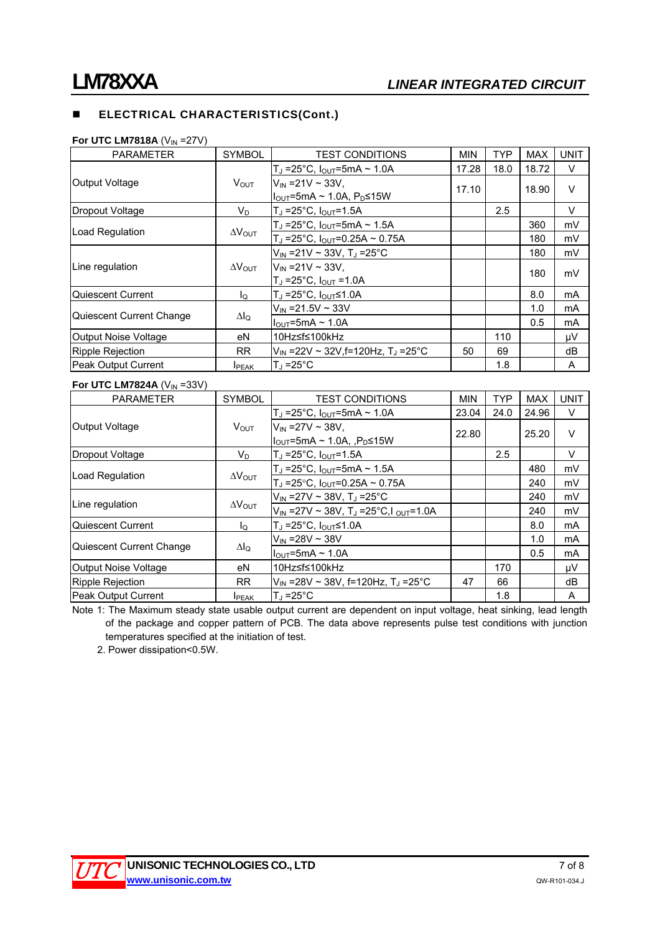# **ELECTRICAL CHARACTERISTICS(Cont.)**

#### **For UTC LM7818A** (V<sub>IN</sub> =27V)

| <b>PARAMETER</b>            | <b>SYMBOL</b>           | <b>TEST CONDITIONS</b>                                    | <b>MIN</b> | <b>TYP</b> | <b>MAX</b> | <b>UNIT</b> |
|-----------------------------|-------------------------|-----------------------------------------------------------|------------|------------|------------|-------------|
| Output Voltage              | $V_{\text{OUT}}$        | T <sub>J</sub> =25°C, $I_{\text{OUT}}$ =5mA ~ 1.0A        | 17.28      | 18.0       | 18.72      | V           |
|                             |                         | $V_{\text{IN}}$ = 21 V ~ 33 V,                            | 17.10      |            | 18.90      | V           |
|                             |                         | Il <sub>ou⊤</sub> =5mA ~ 1.0A, P <sub>D</sub> ≤15W        |            |            |            |             |
| Dropout Voltage             | $V_D$                   | $T_J = 25^{\circ}C$ , $I_{OUT} = 1.5A$                    |            | 2.5        |            | V           |
| Load Regulation             | $\Delta V_{\text{OUT}}$ | $T_J = 25^{\circ}C$ , $I_{OUT} = 5mA \sim 1.5A$           |            |            | 360        | mV          |
|                             |                         | $T_J = 25^{\circ}C$ , $I_{OUT} = 0.25A \sim 0.75A$        |            |            | 180        | mV          |
| Line regulation             | $\Delta V_{\rm OUT}$    | $V_{\text{IN}}$ = 21 V ~ 33 V, T <sub>J</sub> = 25 ° C    |            |            | 180        | mV          |
|                             |                         | $V_{IN} = 21V \sim 33V$ .                                 |            |            | 180        | mV          |
|                             |                         | $T_J = 25^{\circ}C$ , $I_{OUT} = 1.0A$                    |            |            |            |             |
| Quiescent Current           | lo                      | $T_J = 25^{\circ}C$ , $I_{\text{OUT}} \leq 1.0A$          |            |            | 8.0        | mA          |
| Quiescent Current Change    | $\Delta I_Q$            | $V_{\text{IN}}$ = 21.5V ~ 33V                             |            |            | 1.0        | mA          |
|                             |                         | $I_{\text{OUT}}$ =5mA ~ 1.0A                              |            |            | 0.5        | mA          |
| <b>Output Noise Voltage</b> | eN                      | 10Hz≤f≤100kHz                                             |            | 110        |            | μV          |
| Ripple Rejection            | <b>RR</b>               | $V_{\text{IN}}$ =22V ~ 32V, f=120Hz, T <sub>J</sub> =25°C | 50         | 69         |            | dB          |
| <b>Peak Output Current</b>  | <b>I</b> PEAK           | $T_{\rm d}$ =25°C                                         |            | 1.8        |            | A           |

### **For UTC LM7824A** ( $V_{IN}$  =33V)

| <b>PARAMETER</b>         | <b>SYMBOL</b>           | <b>TEST CONDITIONS</b>                                            | <b>MIN</b> | <b>TYP</b> | <b>MAX</b> | <b>UNIT</b> |
|--------------------------|-------------------------|-------------------------------------------------------------------|------------|------------|------------|-------------|
| Output Voltage           | $V_{OUT}$               | $T_J = 25^{\circ}C$ , $I_{OUT} = 5mA \sim 1.0A$                   | 23.04      | 24.0       | 24.96      | V           |
|                          |                         | $V_{\text{IN}}$ = 27V ~ 38V,                                      | 22.80      |            | 25.20      | $\vee$      |
|                          |                         | $ I_{\text{OUT}}$ =5mA ~ 1.0A, ,P <sub>D</sub> ≤15W               |            |            |            |             |
| Dropout Voltage          | $V_D$                   | $T_J = 25^{\circ}C, I_{OUT} = 1.5A$                               |            | 2.5        |            | $\vee$      |
| Load Regulation          | $\Delta V_{\text{OUT}}$ | $T_J = 25^{\circ}C$ , $I_{OUT} = 5mA \sim 1.5A$                   |            |            | 480        | mV          |
|                          |                         | $T_J = 25^{\circ}C$ , $I_{OUT} = 0.25A \sim 0.75A$                |            |            | 240        | mV          |
| Line regulation          | $\Delta V_{\text{OUT}}$ | $V_{\text{IN}}$ =27V ~ 38V, T <sub>J</sub> =25°C                  |            |            | 240        | mV          |
|                          |                         | $V_{IN}$ =27V ~ 38V, T <sub>J</sub> =25°C, I <sub>OUT</sub> =1.0A |            |            | 240        | mV          |
| Quiescent Current        | l <sub>Q</sub>          | $T_J = 25^{\circ}C$ , $I_{OUT} \le 1.0A$                          |            |            | 8.0        | mA          |
| Quiescent Current Change | $\Delta I_{\Omega}$     | $V_{IN} = 28V \sim 38V$                                           |            |            | 1.0        | mA          |
|                          |                         | $I_{\text{OUT}}$ =5mA ~ 1.0A                                      |            |            | 0.5        | mA          |
| Output Noise Voltage     | eN                      | 10Hz≤f≤100kHz                                                     |            | 170        |            | μV          |
| Ripple Rejection         | <b>RR</b>               | $V_{\text{IN}}$ =28V ~ 38V, f=120Hz, T, =25°C                     | 47         | 66         |            | dB          |
| Peak Output Current      | <b>I</b> PEAK           | $T_{\rm J}$ =25°C                                                 |            | 1.8        |            | A           |

Note 1: The Maximum steady state usable output current are dependent on input voltage, heat sinking, lead length of the package and copper pattern of PCB. The data above represents pulse test conditions with junction temperatures specified at the initiation of test.

2. Power dissipation<0.5W.